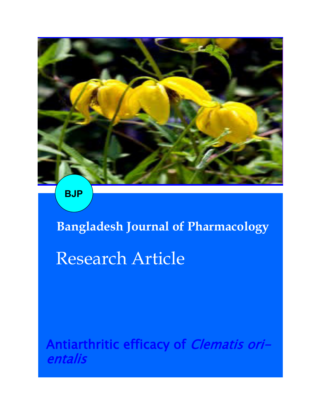

**BJP**

# **Bangladesh Journal of Pharmacology**

## Research Article

Antiarthritic efficacy of *Clematis ori*entalis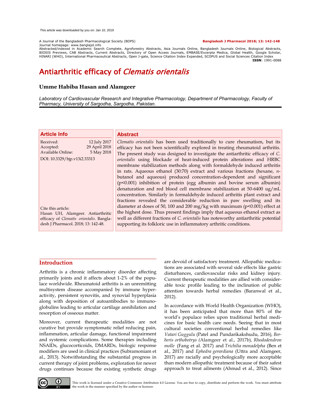A Journal of the Bangladesh Pharmacological Society (BDPS) **Bangladesh J Pharmacol 2018; 13: 142-148**

Journal homepage: www.banglajol.info

Abstracted/indexed in Academic Search Complete, Agroforestry Abstracts, Asia Journals Online, Bangladesh Journals Online, Biological Abstracts, BIOSIS Previews, CAB Abstracts, Current Abstracts, Directory of Open Access Journals, EMBASE/Excerpta Medica, Global Health, Google Scholar, HINARI (WHO), International Pharmaceutical Abstracts, Open J-gate, Science Citation Index Expanded, SCOPUS and Social Sciences Citation Index **ISSN**: 1991-0088

### Antiarthritic efficacy of Clematis orientalis

#### **Umme Habiba Hasan and Alamgeer**

*Laboratory of Cardiovascular Research and Integrative Pharmacology, Department of Pharmacology, Faculty of Pharmacy, University of Sargodha, Sargodha, Pakistan.*

| <b>Article Info</b>                                                                                                                        | <b>Abstract</b>                                                                                                                                                                                                                                                                                                                                                                                                                                                                                                                                  |
|--------------------------------------------------------------------------------------------------------------------------------------------|--------------------------------------------------------------------------------------------------------------------------------------------------------------------------------------------------------------------------------------------------------------------------------------------------------------------------------------------------------------------------------------------------------------------------------------------------------------------------------------------------------------------------------------------------|
| 12 July 2017<br>Received:<br>29 April 2018<br>Accepted:<br>5 May 2018<br><b>Available Online:</b>                                          | <i>Clematis orientalis</i> has been used traditionally to cure rheumatism, but its<br>efficacy has not been scientifically explored in treating rheumatoid arthritis.<br>The present study was designed to investigate the antiarthritic efficacy of C.                                                                                                                                                                                                                                                                                          |
| DOI: 10.3329/bjp.v13i2.33313                                                                                                               | orientalis using blockade of heat-induced protein alterations and HRBC<br>membrane stabilization methods along with formaldehyde induced arthritis<br>in rats. Aqueous ethanol (30:70) extract and various fractions (hexane, $n-$<br>butanol and aqueous) produced concentration-dependent and significant<br>(p<0.001) inhibition of protein (egg albumin and bovine serum albumin)<br>denaturation and red blood cell membrane stabilization at 50-6400 ug/mL<br>concentration. Similarly in formaldehyde induced arthritis plant extract and |
| Cite this article:<br>Hasan UH, Alamgeer. Antiarthritic<br>efficacy of Clematis orientalis. Bangla-<br>desh J Pharmacol. 2018; 13: 142-48. | fractions revealed the considerable reduction in paw swelling and its<br>diameter at doses of 50, 100 and 200 mg/kg with maximum (p<0.001) effect at<br>the highest dose. Thus present findings imply that aqueous ethanol extract as<br>well as different fractions of C. orientalis has noteworthy antiarthritic potential<br>supporting its folkloric use in inflammatory arthritic conditions.                                                                                                                                               |

#### **Introduction**

Arthritis is a chronic inflammatory disorder affecting primarily joints and it affects about 1-2% of the populace worldwide. Rheumatoid arthritis is an unremitting multisystem disease accompanied by immune hyperactivity, persistent synovitis, and synovial hyperplasia along with deposition of autoantibodies to immunoglobulins leading to articular cartilage annihilation and resorption of osseous matter.

Moreover, current therapeutic modalities are not curative but provide symptomatic relief reducing pain, inflammation, articular damage, functional impairment and systemic complications. Some therapies including NSAIDs, glucocorticoids, DMARDs, biologic response modifiers are used in clinical practices (Subramoniam et al., 2013). Notwithstanding the substantial progress in current therapy of joint problems, exploration for newer drugs continues because the existing synthetic drugs

are devoid of satisfactory treatment. Allopathic medications are associated with several side effects like gastric disturbances, cardiovascular risks and kidney injury. Current therapeutic modalities are allied with considerable toxic profile leading to the inclination of public attention towards herbal remedies (Baranwal et al., 2012).

In accordance with World Health Organization (WHO), it has been anticipated that more than 80% of the world's populace relies upon traditional herbal medicines for basic health care needs. Seeing that in most cultural societies conventional herbal remedies like *Vatari Guggulu* (Patel and Pundarikakshudu, 2016)*, Berberis orthobotrys (*Alamgeer et al., 2017b)*, Rhododendron molle* (Fang et al. 2017) and *Trichilia monadelpha* (Ben et al., 2017) and *Ephedra gerardiana* (Uttra and Alamgeer, 2017) are racially and psychologically more acceptable than modern allopathic treatment because of their safest approach to treat ailments (Ahmad et al., 2012). Since



This work is licensed under a Creative Commons Attribution 4.0 License. You are free to copy, distribute and perform the work. You must attribute the work in the manner specified by the author or licensor.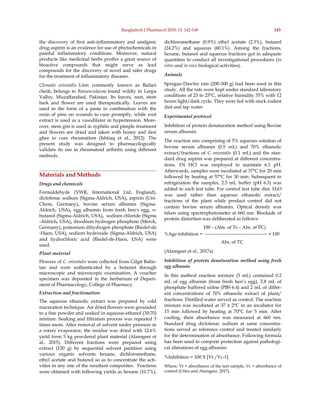the discovery of first anti-inflammatory and analgesic drug aspirin is an evidence for use of phytochemicals in painful inflammatory conditions. Moreover, natural products like medicinal herbs proffer a great source of bioactive compounds that might serve as lead compounds for the discovery of novel and safer drugs for the treatment of inflammatory diseases.

*Clematis orientalis* Linn commonly known as Bailari cheiti, belongs to *Ranunculaceae* found wildly in Leepa Valley, Muzaffarabad, Pakistan. Its leaves, root, stem bark and flower are used therapeutically. Leaves are used in the form of a paste in combination with the resin of pine on wounds to cure promptly, while root extract is used as a vasodilator in hypertension. Moreover, stem gist is used in syphilis and pimple treatment and flowers are dried and taken with honey and desi ghee to cure rheumatism (Ishtiaq et al., 2012). The present study was designed to pharmacologically validate its use in rheumatoid arthritis using different methods.

#### **Materials and Methods**

#### *Drugs and chemicals*

Formaldehyde (VWR, International Ltd, England), diclofenac sodium (Sigma-Aldrich, USA)**,** aspirin (Uni-Chem, Germany)**,** bovine serum albumin (Sigma-Aldrich, USA)**,** egg albumin from fresh hen's egg**,** *n*butanol (Sigma-Aldrich, USA)**,** sodium chloride (Sigma -Aldrich, USA)**,** disodium hydrogen phosphate (Merck, Germany)**,** potassium dihydrogen phosphate (Riedel-de -Haen, USA), sodium hydroxide (Sigma-Aldrich, USA) and hydrochloric acid (Riedel-de-Haen, USA) were used.

#### *Plant material*

Flowers of *C. orientalis* were collected from Gilgit Baltistan and were authenticated by a botanist through macroscopic and microscopic examination. A voucher specimen was deposited in the herbarium of Department of Pharmacology, College of Pharmacy.

#### *Extraction and fractionation*

The aqueous ethanolic extract was prepared by cold maceration technique. Air dried flowers were grounded to a fine powder and soaked in aqueous-ethanol (30:70) mixture. Soaking and filtration process was repeated 3 times more. After removal of solvent under pressure in a rotary evaporator, the residue was dried with 12.6% yield from 5 kg powdered plant material (Alamgeer et al., 2015). Different fractions were prepared using extract (120 g) by sequential solvent partition using various organic solvents hexane, dichloromethane, ethyl acetate and butanol so as to concentrate the activities in any one of the resultant composites. Fractions were obtained with following yields as hexane (10.7%), dichloromethane (0.9%) ethyl acetate (2.3%), butanol (24.2%) and aqueous (60.1%). Among the fractions, hexane, butanol and aqueous fractions got in adequate quantities to conduct all investigational procedures (*in vitro* and *in vivo* biological activities).

#### *Animals*

Sprague-Dawley rats (200-300 g) had been used in this study. All the rats were kept under standard laboratory conditions of 23 to 25°C, relative humidity 55% with 12 hours light/dark cycle. They were fed with stock rodent diet and tap water.

#### *Experimental protocol*

Inhibition of protein denaturation method using Bovine serum albumin.

The reaction mix comprising of 5% aqueous solution of bovine serum albumin (0.5 mL) and 70% ethanolic extract/fractions of *C. orientalis* (0.1 mL) and the standard drug aspirin was prepared at different concentrations. 1N HCl was employed to maintain 6.3 pH. Afterwards, samples were incubated at 37°C for 20 min followed by heating at 57°C for 30 min. Subsequent to refrigeration the samples, 2.5 mL buffer (pH 6.3) was added to each test tube. For control test tube dist. H<sub>2</sub>O was used rather than aqueous ethanolic extract/ fractions of the plant while product control did not contain bovine serum albumin. Optical density was taken using spectrophotometer at 660 nm. Blockade of protein distortion was deliberated as follows:

$$
100 - (Abs. of Ts - Abs. of PC)
$$

%Age inhibition =  $\frac{\text{m}}{\text{m}} \times 100$ 

Abs. of TC

(Alamgeer et al., 2017a)

#### *Inhibition of protein denaturation method using fresh egg albumin*

In this method reaction mixture (5 mL) contained 0.2 mL of egg albumin (from fresh hen's egg), 2.8 mL of phosphate buffered saline (PBS 6.4) and 2 mL of different concentrations of 70% ethanolic extract of plant/ fractions. Distilled water served as control. The reaction mixture was incubated at  $37 \pm 2$ °C in an incubator for 15 min followed by heating at 70°C for 5 min. After cooling, their absorbance was measured at 660 nm. Standard drug diclofenac sodium at same concentrations served as reference control and treated similarly for the determination of absorbance. Following formula has been used to compute protection against pathological alterations of egg albumin:

%Inhibition =  $100$  X [Vt /Vc-1]

Where,  $Vt =$  absorbance of the test sample,  $Vc =$  absorbance of control (Uttra and Alamgeer, 2017).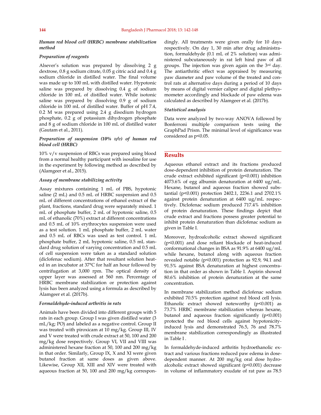*Human red blood cell (HRBC) membrane stabilization method* 

#### *Preparation of reagents*

Alsever's solution was prepared by dissolving 2 g dextrose, 0.8 g sodium citrate, 0.05 g citric acid and 0.4 g sodium chloride in distilled water. The final volume was made up to 100 mL with distilled water. Hypotonic saline was prepared by dissolving 0.4 g of sodium chloride in 100 mL of distilled water. While isotonic saline was prepared by dissolving 0.9 g of sodium chloride in 100 mL of distilled water. Buffer of pH 7.4, 0.2 M was prepared using 2.4 g disodium hydrogen phosphate, 0.2 g of potassium dihydrogen phosphate and 8 g of sodium chloride in 100 mL of distilled water (Gautam et al., 2011).

#### *Preparation of suspension (10% v/v) of human red blood cell (HRBC)*

10% v/v suspension of RBCs was prepared using blood from a normal healthy participant with isosaline for use in the experiment by following method as described by (Alamgeer et al., 2015).

#### *Assay of membrane stabilizing activity*

Assay mixtures containing 1 mL of PBS, hypotonic saline (2 mL) and 0.5 mL of HRBC suspension and 0.5 mL of different concentrations of ethanol extract of the plant, fractions*,* standard drug were separately mixed. 1 mL of phosphate buffer, 2 mL of hypotonic saline, 0.5 mL of ethanolic (70%) extract at different concentrations and 0.5 mL of 10% erythrocytes suspension were used as a test solution. 1 mL phosphate buffer, 2 mL water and 0.5 mL of RBCs was used as test control. 1 mL phosphate buffer, 2 mL hypotonic saline, 0.5 mL standard drug solution of varying concentration and 0.5 mL of cell suspension were taken as a standard solution (diclofenac sodium). After that resultant solution heated in an incubator at 37°C for half an hour followed by centrifugation at 3,000 rpm. The optical density of upper layer was assessed at 560 nm. Percentage of HRBC membrane stabilization or protection against lysis has been analyzed using a formula as described by Alamgeer et al. (2017b).

#### *Formaldehyde-induced arthritis in rats*

Animals have been divided into different groups with 5 rats in each group. Group I was given distilled water (3 mL/kg; PO) and labeled as a negative control. Group II was treated with piroxicam at 10 mg/kg. Group III, IV and V were treated with crude extract at 50, 100 and 200 mg/kg dose respectively. Group VI, VII and VIII was administered hexane fraction at 50, 100 and 200 mg/kg in that order. Similarly, Group IX, X and XI were given butanol fraction at same doses as given above. Likewise, Group XII, XIII and XIV were treated with aqueous fraction at 50, 100 and 200 mg/kg correspondingly. All treatments were given orally for 10 days respectively. On day 1, 30 min after drug administration, formaldehyde (0.1 mL of 2% solution) was administered subcutaneously in rat left hind paw of all groups. The injection was given again on the 3rd day. The antiarthritic effect was appraised by measuring paw diameter and paw volume of the treated and control rats at alternative days during a period of 10 days by means of digital vernier caliper and digital plethysmometer accordingly and blockade of paw edema was calculated as described by Alamgeer et al. (2017b).

#### *Statistical analysis*

Data were analyzed by two-way ANOVA followed by Bonferroni multiple comparison tests using the GraphPad Prism. The minimal level of significance was considered as p<0.05.

#### **Results**

Aqueous ethanol extract and its fractions produced dose-dependent inhibition of protein denaturation. The crude extract exhibited significant (p<0.001) inhibition 4073.6% of egg albumin denaturation at 6400 ug/mL. Hexane, butanol and aqueous fraction showed substantial (p<0.001) protection 2402.1, 2236.1 and 2702.1% against protein denaturation at 6400 ug/mL respectively. Diclofenac sodium produced 717.4% inhibition of protein denaturation. These findings depict that crude extract and fractions possess greater potential to inhibit protein denaturation than diclofenac sodium as given in Table I.

Moreover, hydroalcoholic extract showed significant (p<0.001) and dose reliant blockade of heat-induced conformational changes in BSA as 91.9% at 6400 ug/mL while hexane, butanol along with aqueous fraction revealed notable (p<0.001) protection as 92.9, 94.1 and 91.5% against BSA denaturation at highest concentration in that order as shown in Table I. Aspirin showed 80.6% inhibition of protein denaturation at the same concentration.

In membrane stabilization method diclofenac sodium exhibited 70.5% protection against red blood cell lysis. Ethanolic extract showed noteworthy  $(p<0.001)$  as 73.7% HRBC membrane stabilization whereas hexane, butanol and aqueous fraction significantly (p<0.001) protected the red blood cells against hypotonicityinduced lysis and demonstrated 76.5, 76 and 78.7% membrane stabilization correspondingly as illustrated in Table I .

In formaldehyde-induced arthritis hydroethanolic extract and various fractions reduced paw edema in dosedependent manner. At 200 mg/kg oral dose hydroalcoholic extract showed significant (p<0.001) decrease in volume of inflammatory exudate of rat paw as 78.5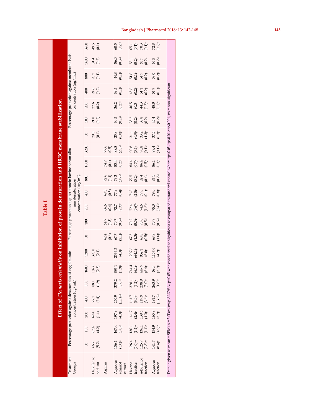|                                                           |                                  |                           |                               |                                                                          |                                                                    |                    |                                                                                                                     |                                |                                                          | Table I                                    |                                                    |                                            |                        |                                |                                                    |                                                    |                   |                            |                                              |                                                                        |                                |
|-----------------------------------------------------------|----------------------------------|---------------------------|-------------------------------|--------------------------------------------------------------------------|--------------------------------------------------------------------|--------------------|---------------------------------------------------------------------------------------------------------------------|--------------------------------|----------------------------------------------------------|--------------------------------------------|----------------------------------------------------|--------------------------------------------|------------------------|--------------------------------|----------------------------------------------------|----------------------------------------------------|-------------------|----------------------------|----------------------------------------------|------------------------------------------------------------------------|--------------------------------|
|                                                           |                                  |                           |                               |                                                                          |                                                                    |                    | Effect of <i>Clematis orientalis</i> on inhibition of protein denaturation and HRBC membrane stabilization          |                                |                                                          |                                            |                                                    |                                            |                        |                                |                                                    |                                                    |                   |                            |                                              |                                                                        |                                |
| Treatment<br>Groups                                       |                                  |                           |                               | Percentage protection against denaturation of<br>concentration $(ug/ml)$ |                                                                    |                    | egg albumin                                                                                                         |                                | Percentage protection against protein bovine serum albu- |                                            | concentration (ug/mL)<br>min denaturation          |                                            |                        |                                |                                                    |                                                    |                   | concentration $(ug/mL)$    | Percentage protection against membrane lysis |                                                                        |                                |
|                                                           | 50                               | 100                       | 200                           | 400                                                                      | 800                                                                | 1600               | 3200                                                                                                                | 50                             | 100                                                      | 200                                        | 400                                                | 800                                        | 1600                   | 3200                           | 50                                                 | 100                                                | 200               | 400                        | 800                                          | 1600                                                                   | 3200                           |
| Diclofenac<br>sodium                                      | 66.7<br>(5.2)                    | 67.4<br>(4.2)             | 69.4<br>(1.4)                 | (2.4)<br>77.1                                                            | (1.9)<br>88.1                                                      | 182.6<br>(2.5)     | 370.8<br>(2.1)                                                                                                      |                                |                                                          |                                            |                                                    |                                            |                        |                                | 20.3<br>(0.1)                                      | $21.8$<br>(0.2)                                    | 22.6<br>(0.2)     | 24.6<br>(0.2)              | 26.7<br>(0.1)                                | 31.4<br>(0.2)                                                          | 49.5<br>(0.1)                  |
| Aspirin                                                   |                                  |                           |                               |                                                                          |                                                                    |                    |                                                                                                                     | 62.4                           | 64.7<br>(0.5)<br>70.7                                    | 66.6<br>(0.4)<br>72.7                      | 69.3<br>$(0.5)$<br>77.9                            | $72.6$<br>$(0.4)$<br>$79.3$                | 74.7<br>(0.4)<br>83.4  | $77.6$<br>(0.5)                |                                                    |                                                    |                   |                            |                                              |                                                                        |                                |
| Aqueous<br>ethanol<br>extract                             | $(5.0)$ a<br>136.1               | 167.4<br>$(3.0)^\text{c}$ | 197.9<br>$(4.3)$ <sup>c</sup> | $250.9$<br>(11.4)c                                                       | 379.2<br>(3.6)c                                                    | 893.1<br>$(5.9)$ c | 2533.3<br>$(4.3)$ <sup>c</sup>                                                                                      | $(0.6)$<br>$67.7$<br>$(2.1)^a$ | $(0.5)^{b}$                                              | $(2.3)$ <sup>b</sup>                       | $(0.4)$ c                                          | $(0.7)^{b}$                                | $(0.2)^c$              | $88.8$<br>$(2.0)$ <sup>c</sup> | $(0.8)^{\rm c}$<br>25.8                            | $(0.1)^c$<br>30.5                                  | $(0.2)^c$<br>36.2 | $39.5$<br>$(0.1)^c$        | $(0.1)^c$<br>$4.8$                           | 56.0<br>$(0.3)$ <sup>c</sup>                                           | 60.5<br>$(0.2)^c$              |
| fraction<br>Hexane                                        | $(5.0)^{\rm ns}$<br>126.4        | $136.1$<br>$(1.4)^a$      | $141.7$<br>$(2.4)^a$          | $161.7$<br>$(3.0)^b$<br>$147.9$                                          | $320.1$<br>$(6.2)$ <sup>c</sup><br>$238.9$<br>$(3.0)$ <sup>c</sup> | 744.4<br>$(6.1)^c$ | $1207.6$<br>(64.1) <sup>c</sup>                                                                                     | $67.5$<br>$(1.3)^a$<br>$68.8$  | $70.2$<br>$(0.5)^a$<br>$70.6$<br>$(0.5)^b$               |                                            |                                                    |                                            | 84.4<br>(0.7)<br>86.4  |                                | $\begin{array}{c} 31.6 \\ 0.9 \\ 33.2 \end{array}$ |                                                    | 40<br>40<br>43    | $^{45.6}_{(0.2)^c}$        | 51.6<br>(0.1)<br>54.7                        |                                                                        |                                |
| $n$ -Butanol<br>fraction                                  | $125.7$<br>$(2.8)$ <sup>ns</sup> | $136.1$<br>$(1.4)^a$      | 139.6<br>$(4.3)$ <sup>a</sup> | $(3.6)^a$                                                                |                                                                    | 447.9<br>$(6.4)$ c | 952.1<br>(6.0)                                                                                                      | $^{0.5}$ (0.5)                 |                                                          | $72.4$<br>$(0.6)^6$<br>$74.6$<br>$(1.6)^c$ | $76.8$<br>$(2.8)^\circ$<br>$77.6$<br>$(0.1)^\circ$ | $79.5$<br>$(3.2)^6$<br>$82.4$<br>$(0.4)^6$ | $(0.5)$ <sup>c</sup>   | 90.4)<br>0.4)<br>90.2)         | $(1.3)$ <sup>c</sup>                               | $35.2$<br>$(0.2)^\circ$<br>$38.8$<br>$(0.2)^\circ$ | $(0.2)^c$         | $(0.2)^{\circ}$<br>51.1    | $(0.2)^c$                                    | 58.1<br>(0.2) <sup>c</sup><br>(0.3) <sup>c</sup><br>(0.2) <sup>c</sup> | 65.1<br>(0.1)<br>70.3<br>(0.1) |
| Aqueous<br>fraction                                       | $(8.4)^b$<br>141.7               | 154.9<br>$(4.9)^b$        | 165.9<br>$(3.7)^c$            | $(13.6)^c$<br>191.7                                                      | $263.9$<br>$(1.8)^c$                                               | $(5.7)^c$<br>590.  | 1157.6<br>$(4.2)^c$                                                                                                 | $(1.6)^b$<br>68.9              | $70.9$<br>$(0.6)^b$                                      | $75.0$<br>$(0.4)$                          | $79.0$<br>$(0.8)$                                  | $^{83.1}_{(0.2)}$                          | $\frac{86.1}{(0.3)^6}$ | $6.1$ <sup>o</sup>             | $37.5$<br>$(0.3)^c$                                | $45.4$<br>$(0.2)^{c}$                              | $^{48.0}_{(0.1)}$ | 54.9<br>(0.1) <sup>c</sup> | $59.0$<br>$(0.2)^\circ$                      | $66.5$<br>$(0.2)^{c}$                                                  | $72.8$<br>$(0.2)^{c}$          |
| Data is given as mean ± SEM; n = 3; Two-way ANOVA, p<0.05 |                                  |                           |                               |                                                                          |                                                                    |                    | was considered as significant as compared to standard control where *p<0.05, *p<0.01, *p<0.001, ns = non-significan |                                |                                                          |                                            |                                                    |                                            |                        |                                |                                                    |                                                    |                   |                            |                                              |                                                                        |                                |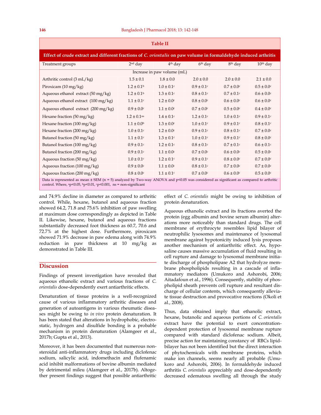| <b>Table II</b>                                                                                                                                                                                                          |                             |                     |                     |                     |                 |  |  |  |  |
|--------------------------------------------------------------------------------------------------------------------------------------------------------------------------------------------------------------------------|-----------------------------|---------------------|---------------------|---------------------|-----------------|--|--|--|--|
| Effect of crude extract and different fractions of C. orientalis on paw volume in formaldehyde induced arthritis                                                                                                         |                             |                     |                     |                     |                 |  |  |  |  |
| Treatment groups                                                                                                                                                                                                         | $2nd$ day                   | 4 <sup>th</sup> day | 6 <sup>th</sup> day | 8 <sup>th</sup> day | $10th$ day      |  |  |  |  |
| Increase in paw volume (mL)                                                                                                                                                                                              |                             |                     |                     |                     |                 |  |  |  |  |
| Arthritic control (3 mL/kg)                                                                                                                                                                                              | $1.5 \pm 0.1$               | $1.8 \pm 0.0$       | $2.0 \pm 0.0$       | $2.0 \pm 0.0$       | $2.1 \pm 0.0$   |  |  |  |  |
| Piroxicam $(10 \text{ mg/kg})$                                                                                                                                                                                           | $1.2 \pm 0.1$ <sup>b</sup>  | $1.0 \pm 0.1$ c     | $0.9 \pm 0.1$ c     | $0.7 \pm 0.0$ c     | $0.5 \pm 0.0c$  |  |  |  |  |
| Aqueous ethanol extract $(50 \text{ mg/kg})$                                                                                                                                                                             | $1.2 \pm 0.1$ <sup>b</sup>  | $1.3 \pm 0.1$ c     | $0.8 \pm 0.1$ c     | $0.7 \pm 0.1$ c     | $0.6 \pm 0.0$ c |  |  |  |  |
| Aqueous ethanol extract (100 mg/kg)                                                                                                                                                                                      | $1.1 \pm 0.1$ c             | $1.2 \pm 0.0$ c     | $0.8 \pm 0.0$ c     | $0.6 \pm 0.0$ c     | $0.6 \pm 0.0$ c |  |  |  |  |
| Aqueous ethanol extract (200 mg/kg)                                                                                                                                                                                      | $0.9 \pm 0.0$ c             | $1.1 \pm 0.0$ c     | $0.7 \pm 0.0$ c     | $0.5 \pm 0.0$ c     | $0.4 \pm 0.0$ c |  |  |  |  |
| Hexane fraction $(50 \text{ mg/kg})$                                                                                                                                                                                     | $1.2 \pm 0.1$ <sup>ns</sup> | $1.4 \pm 0.1$ c     | $1.2 \pm 0.1$ c     | $1.0 \pm 0.1$ c     | $0.9 \pm 0.1$ c |  |  |  |  |
| Hexane fraction $(100 \text{ mg/kg})$                                                                                                                                                                                    | $1.1 \pm 0.0^{\rm b}$       | $1.3 \pm 0.0$ c     | $1.0 \pm 0.1$ c     | $0.9 \pm 0.1$ c     | $0.8 \pm 0.1$ c |  |  |  |  |
| Hexane fraction (200 mg/kg)                                                                                                                                                                                              | $1.0 \pm 0.1$ c             | $1.2 \pm 0.0$ c     | $0.9 \pm 0.1$ c     | $0.8 \pm 0.1$ c     | $0.7 \pm 0.0$ c |  |  |  |  |
| Butanol fraction (50 mg/kg)                                                                                                                                                                                              | $1.1 \pm 0.1$ c             | $1.3 \pm 0.1$ c     | $1.0 \pm 0.1$ c     | $0.9 \pm 0.1$ c     | $0.8 \pm 0.0$ c |  |  |  |  |
| Butanol fraction (100 mg/kg)                                                                                                                                                                                             | $0.9 \pm 0.1$ c             | $1.2 \pm 0.1$ c     | $0.8 \pm 0.1$ c     | $0.7 \pm 0.1$ c     | $0.6 \pm 0.1$ c |  |  |  |  |
| Butanol fraction (200 mg/kg)                                                                                                                                                                                             | $0.9 \pm 0.1$ c             | $1.1 \pm 0.0$ c     | $0.7 \pm 0.0$ c     | $0.6 \pm 0.0$ c     | $0.5 \pm 0.0$ c |  |  |  |  |
| Aqueous fraction (50 mg/kg)                                                                                                                                                                                              | $1.0 \pm 0.1$ c             | $1.2 \pm 0.1$ c     | $0.9 \pm 0.1$ c     | $0.8 \pm 0.0$ c     | $0.7 \pm 0.0$ c |  |  |  |  |
| Aqueous fraction $(100 \text{ mg/kg})$                                                                                                                                                                                   | $0.9 \pm 0.0$ c             | $1.1 \pm 0.0$ c     | $0.8 \pm 0.1$ c     | $0.7 \pm 0.0$ c     | $0.7 \pm 0.0$ c |  |  |  |  |
| Aqueous fraction $(200 \text{ mg/kg})$                                                                                                                                                                                   | $0.8 \pm 0.0$ c             | $1.1 \pm 0.1$ c     | $0.7 \pm 0.0$ c     | $0.6 \pm 0.0$ c     | $0.5 \pm 0.0$ c |  |  |  |  |
| Data is represented as mean $\pm$ SEM (n = 5) analyzed by Two-way ANOVA and p<0.05 was considered as significant as compared to arthritic<br>control. Where, $ap<0.05$ , $bp<0.01$ , $cp<0.001$ , $ns = non-significant$ |                             |                     |                     |                     |                 |  |  |  |  |

and 74.9% decline in diameter as compared to arthritic control. While, hexane, butanol and aqueous fraction showed 64.2, 71.8 and 75.6% inhibition of paw swelling at maximum dose correspondingly as depicted in Table II. Likewise, hexane, butanol and aqueous fractions substantially decreased foot thickness as 60.7, 70.6 and 72.7% at the highest dose. Furthermore, piroxicam showed 71.9% decrease in paw edema along with 74.9% reduction in paw thickness at 10 mg/kg as demonstrated in Table III.

#### **Discussion**

Findings of present investigation have revealed that aqueous ethanolic extract and various fractions of *C. orientalis* dose-dependently exert antiarthritic effects.

Denaturation of tissue proteins is a well-recognized cause of various inflammatory arthritic diseases and generation of autoantigens in various rheumatic diseases might be owing to *in vivo* protein denaturation. It has been stated that alterations in hydrophobic, electrostatic, hydrogen and disulfide bonding is a probable mechanism in protein denaturation (Alamgeer et al., 2017b; Gupta et al., 2013).

Moreover, it has been documented that numerous nonsteroidal anti-inflammatory drugs including diclofenac sodium, salicylic acid, indomethacin and flufenamic acid inhibit malformations of bovine albumin mediated by detrimental mileu (Alamgeer et al., 2017b). Altogether present findings suggest that possible antiarthritic effect of *C. orientalis* might be owing to inhibition of protein denaturation.

Aqueous ethanolic extract and its fractions averted the protein (egg albumin and bovine serum albumin) alterations more noticeably than standard drugs. The cell membrane of erythrocyte resembles lipid bilayer of neutrophilic lysosomes and maintenance of lysosomal membrane against hypotonicity induced lysis proposes another mechanism of antiarthritic effect. As, hyposaline causes massive accumulation of fluid resulting in cell rupture and damage to lysosomal membrane initiate discharge of phospholipase A2 that hydrolyze membrane phospholipids resulting in a cascade of inflammatory mediators (Umukoro and Ashorobi, 2006; Aitadafoun et al., 1996). Consequently, stability of phospholipid sheath prevents cell rupture and resultant discharge of cellular contents, which consequently alleviate tissue destruction and provocative reactions (Okoli et al., 2008).

Thus, data obtained imply that ethanolic extract, hexane, butanolic and aqueous portions of *C. orientalis*  extract have the potential to exert concentrationdependent protection of lysosomal membrane rupture compared with standard diclofenac sodium. Albeit, precise action for maintaining constancy of RBCs lipidbilayer has not been identified but the direct interaction of phytochemicals with membrane proteins, which make ion channels, seems nearly all probable (Umukoro and Ashorobi, 2006). In formaldehyde induced arthritis *C. orientalis* appreciably and dose-dependently decreased edematous swelling all through the study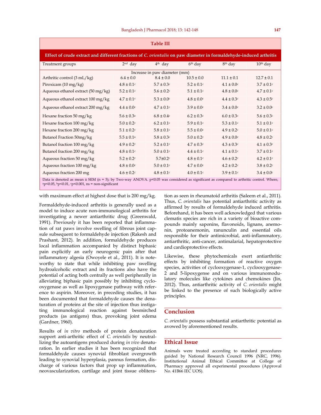| Table III                                                                                                          |                                                                                                                                                                                                              |                               |                     |                     |                 |  |  |  |  |
|--------------------------------------------------------------------------------------------------------------------|--------------------------------------------------------------------------------------------------------------------------------------------------------------------------------------------------------------|-------------------------------|---------------------|---------------------|-----------------|--|--|--|--|
| Effect of crude extract and different fractions of C. orientalis on paw diameter in formaldehyde-induced arthritis |                                                                                                                                                                                                              |                               |                     |                     |                 |  |  |  |  |
| Treatment groups                                                                                                   | $2nd$ day                                                                                                                                                                                                    | 4 <sup>th</sup> day           | 6 <sup>th</sup> day | 8 <sup>th</sup> day | $10th$ day      |  |  |  |  |
|                                                                                                                    |                                                                                                                                                                                                              | Increase in paw diameter (mm) |                     |                     |                 |  |  |  |  |
| Arthritic control (3 mL/kg)                                                                                        | $6.4 \pm 0.0$                                                                                                                                                                                                | $8.4 \pm 0.0$                 | $10.5 \pm 0.0$      | $11.1 \pm 0.1$      | $12.7 \pm 0.1$  |  |  |  |  |
| Piroxicam $(10 \text{ mg/kg})$                                                                                     | $4.8 \pm 0.1$ c                                                                                                                                                                                              | $5.7 \pm 0.3c$                | $5.2 \pm 0.1$ c     | $4.1 \pm 0.0c$      | $3.7 \pm 0.1$ c |  |  |  |  |
| Aqueous ethanol extract $(50 \text{ mg/kg})$                                                                       | $5.2 \pm 0.1$ c                                                                                                                                                                                              | $5.6 \pm 0.2$ c               | $5.1 \pm 0.1$ c     | $4.8 \pm 0.0$ c     | $4.7 \pm 0.1$ c |  |  |  |  |
| Aqueous ethanol extract 100 mg/kg                                                                                  | $4.7 \pm 0.1c$                                                                                                                                                                                               | $5.3 \pm 0.0c$                | $4.8 \pm 0.0c$      | $4.4 \pm 0.3c$      | $4.3 \pm 0.5c$  |  |  |  |  |
| Aqueous ethanol extract 200 mg/kg                                                                                  | $4.4 \pm 0.0$ c                                                                                                                                                                                              | $4.7 \pm 0.1$ c               | $3.9 \pm 0.0$ c     | $3.4 \pm 0.0$ c     | $3.2 \pm 0.0c$  |  |  |  |  |
| Hexane fraction 50 mg/kg                                                                                           | $5.6 \pm 0.3^{\rm a}$                                                                                                                                                                                        | $6.8 \pm 0.4$ c               | $6.2 \pm 0.3$ c     | $6.0 \pm 0.3$ c     | $5.6 \pm 0.3c$  |  |  |  |  |
| Hexane fraction 100 mg/kg                                                                                          | $5.0 \pm 0.2$ c                                                                                                                                                                                              | $6.2 \pm 0.1$ c               | $5.9 \pm 0.1$ c     | $5.3 \pm 0.1$ c     | $5.1 \pm 0.1$ c |  |  |  |  |
| Hexane fraction 200 mg/kg                                                                                          | $5.1 \pm 0.2$ c                                                                                                                                                                                              | $5.8 \pm 0.1$ c               | $5.5 \pm 0.0c$      | $4.9 \pm 0.2$ c     | $5.0 \pm 0.1$ c |  |  |  |  |
| Butanol Fraction 50mg/kg                                                                                           | $5.5\pm0.1^{\rm a}$                                                                                                                                                                                          | $5.8 \pm 0.3c$                | $5.0 \pm 0.2$ c     | $4.9 \pm 0.0$ c     | $4.8 \pm 0.2$ c |  |  |  |  |
| Butanol fraction 100 mg/kg                                                                                         | $4.9 \pm 0.2$ c                                                                                                                                                                                              | $5.2 \pm 0.1$ c               | $4.7 \pm 0.3c$      | $4.3 \pm 0.3c$      | $4.1 \pm 0.3c$  |  |  |  |  |
| Butanol fraction 200 mg/kg                                                                                         | $4.8 \pm 0.1$ c                                                                                                                                                                                              | $5.0 \pm 0.1$ c               | $4.4 \pm 0.1$ c     | $4.1 \pm 0.1$ c     | $3.7 \pm 0.1$ c |  |  |  |  |
| Aqueous fraction 50 mg/kg                                                                                          | $5.2 \pm 0.2$ c                                                                                                                                                                                              | $5.7 \pm 0.2$ c               | $4.8 \pm 0.1$ c     | $4.6 \pm 0.2$ c     | $4.2 \pm 0.1$ c |  |  |  |  |
| Aqueous fraction 100 mg/kg                                                                                         | $4.8 \pm 0.0c$                                                                                                                                                                                               | $5.0 \pm 0.1$ c               | $4.7 \pm 0.0$ c     | $4.2 \pm 0.2c$      | $3.8 \pm 0.2c$  |  |  |  |  |
| Aqueous fraction 200 mg                                                                                            | $4.6 \pm 0.2$ c                                                                                                                                                                                              | $4.8 \pm 0.1$ c               | $4.0 \pm 0.1$ c     | $3.9 \pm 0.1$ c     | $3.4 \pm 0.0$ c |  |  |  |  |
|                                                                                                                    | Data is denoted as mean ± SEM (n = 5); by Two-way ANOVA. p<0.05 was considered as significant as compared to arthritic control. Where,<br>$^{a}p<0.05$ , $^{b}p<0.01$ , $^{c}p<0.001$ , ns = non-significant |                               |                     |                     |                 |  |  |  |  |

with maximum effect at highest dose that is 200 mg/kg.

Formaldehyde-induced arthritis is generally used as a model to induce acute non-immunological arthritis for investigating a newer antiarthritic drug (Greenwald, 1991). Previously it has been reported that inflammation of rat paws involve swelling of fibrous joint capsule subsequent to formaldehyde injection (Rakesh and Prashant, 2012). In addition, formaldehyde produces local inflammation accompanied by distinct biphasic pain explicitly an early neurogenic pain after that inflammatory algesia (Owoyele et al., 2011). It is noteworthy to state that while inhibiting paw swelling hydroalcoholic extract and its fractions also have the potential of acting both centrally as well peripherally in alleviating biphasic pain possibly by inhibiting cyclooxygenase as well as lipoxygenase pathway with reference to aspirin. Moreover, in preceding studies, it has been documented that formaldehyde causes the denaturation of proteins at the site of injection thus instigating immunological reaction against besmirched products (as antigens) thus, provoking joint edema (Gardner, 1960).

Results of *in vitro* methods of protein denaturation support anti-arthritic effect of *C. orientalis* by neutrallizing the autoantigens produced during *in vivo* denaturation. In earlier studies it has been recognized that formaldehyde causes synovial fibroblast overgrowth leading to synovial hyperplasia, pannus formation, discharge of various factors that prop up inflammation, neovascularization, cartilage and joint tissue oblitera-

tion as seen in rheumatoid arthritis (Saleem et al., 2011). Thus, *C. orientalis* has potential antiarthritic activity as affirmed by results of formaldehyde induced arthritis. Beforehand, it has been well acknowledged that various clematis species are rich in a variety of bioactive compounds mainly saponins, flavonoids, lignans, anemonin, protoanemonin, ranunculin and essential oils responsible for their antimicrobial, anti-inflammatory, antiarthritic, anti-cancer, antimalarial, hepatoprotective and cardioprotective effects.

Likewise, these phytochemicals exert antiarthritic effects by inhibiting formation of reactive oxygen species, activities of cyclooxygenase-1, cyclooxygenase-2 and 5-lipoxygense and on various immunomodulatory molecules like cytokines and chemokines (Jin, 2012). Thus, antiarthritic activity of *C. orientalis* might be linked to the presence of such biologically active principles.

#### **Conclusion**

*C. orientalis* possess substantial antiarthritic potential as avowed by aforementioned results.

#### **Ethical Issue**

Animals were treated according to standard procedures guided by National Research Council 1996 (NRC, 1996). Institutional Animal Ethical Committee at College of Pharmacy approved all experimental procedures (Approval No. 41B66 IEC UOS).